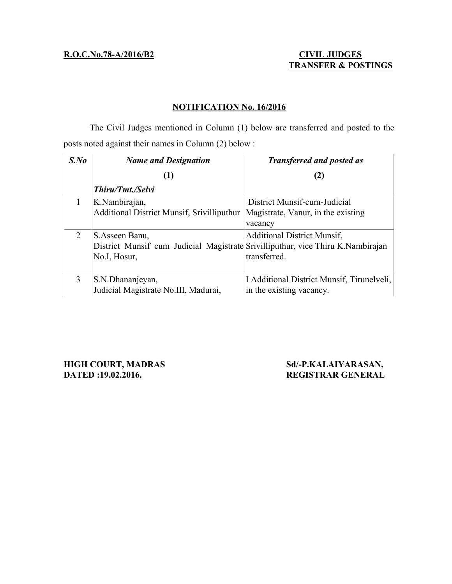# **R.O.C.No.78-A/2016/B2 CIVIL JUDGES**

# **TRANSFER & POSTINGS**

## **NOTIFICATION No. 16/2016**

The Civil Judges mentioned in Column (1) below are transferred and posted to the posts noted against their names in Column (2) below :

| $S$ .No                     | <b>Name and Designation</b>                                                                                        | <b>Transferred and posted as</b>                                              |
|-----------------------------|--------------------------------------------------------------------------------------------------------------------|-------------------------------------------------------------------------------|
|                             | $\bf(1)$                                                                                                           | (2)                                                                           |
|                             | Thiru/Tmt./Selvi                                                                                                   |                                                                               |
|                             | K.Nambirajan,<br>Additional District Munsif, Srivilliputhur                                                        | District Munsif-cum-Judicial<br>Magistrate, Vanur, in the existing<br>vacancy |
| $\mathcal{D}_{\mathcal{L}}$ | S.Asseen Banu,<br>District Munsif cum Judicial Magistrate Srivilliputhur, vice Thiru K. Nambirajan<br>No.I, Hosur, | <b>Additional District Munsif,</b><br>transferred.                            |
| 3                           | S.N.Dhananjeyan,<br>Judicial Magistrate No.III, Madurai,                                                           | I Additional District Munsif, Tirunelveli,<br>in the existing vacancy.        |

**HIGH COURT, MADRAS Sd/-P.KALAIYARASAN, DATED :19.02.2016. REGISTRAR GENERAL**